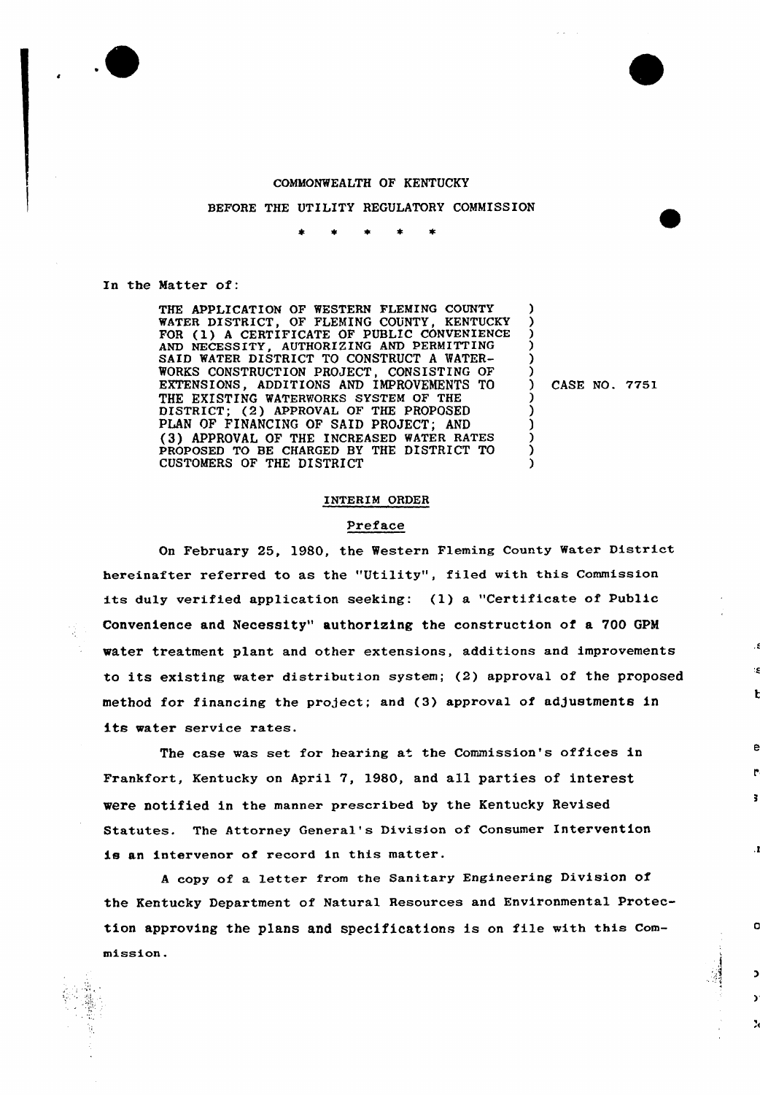

# COMMONWEALTH OF KENTUCKY

#### BEFORE THE UTILITY REGULATORY COMMISSION

In the Matter of:

THE APPLICATION OF WESTERN FLEMING COUNTY WATER DISTRICT, OF FLEMING COUNTY, KENTUCKY FOR (1) <sup>A</sup> CERTIFICATE OF PUBLIC CONVENIENCE AND NECESSITY, AUTHORIZING AND PERMITTING SAID WATER DISTRICT TO CONSTRUCT A WATER-WORKS CONSTRUCTION PROJECT, CONSISTING OF EXTENSIONS, ADDITIONS AND IMPROVEMENTS TO THE EXISTING WATERWORKS SYSTEM OF THE DISTRICT; (2) APPROVAL OF THE PROPOSED PLAN OF FINANCING OF SAID PROJECT; AND (3) APPROVAL OF THE INCREASED WATER RATES PROPOSED TO BE CHARGED BY THE DISTRICT TO CUSTOMERS OF THE DISTRICT

) CASE NO. 7751

O

X

) ) ) ) ) )

) ) ) ) ) )

## INTERIM ORDER

# Preface

On February 25, 1980, the Western Fleming County Water District hereinafter referred to as the "Utility", filed with this Commission its duly verified application seeking: (1) a "Certificate of Public Convenience and Necessity" authorizing the construction of a 700 GPM water treatment plant and other extensions, additions and improvements to its existing water distribution system; (2) approval of the Proposed method for financing the project; and (3) approval of adjustments in its water service rates.

The case was set for hearing at the Commission's offices in Frankfort, Kentucky on April 7, 1980, and all parties of interest were notified in the manner prescribed by the Kentucky Revised Statutes. The Attorney General's Division of Consumer Intervention is an intervenor of record in this matter.

<sup>A</sup> copy of a letter from the Sanitary Engineering Division of the Kentucky Department of Natural Resources and Environmental Protection approving the plans and specifications is on file with this commission.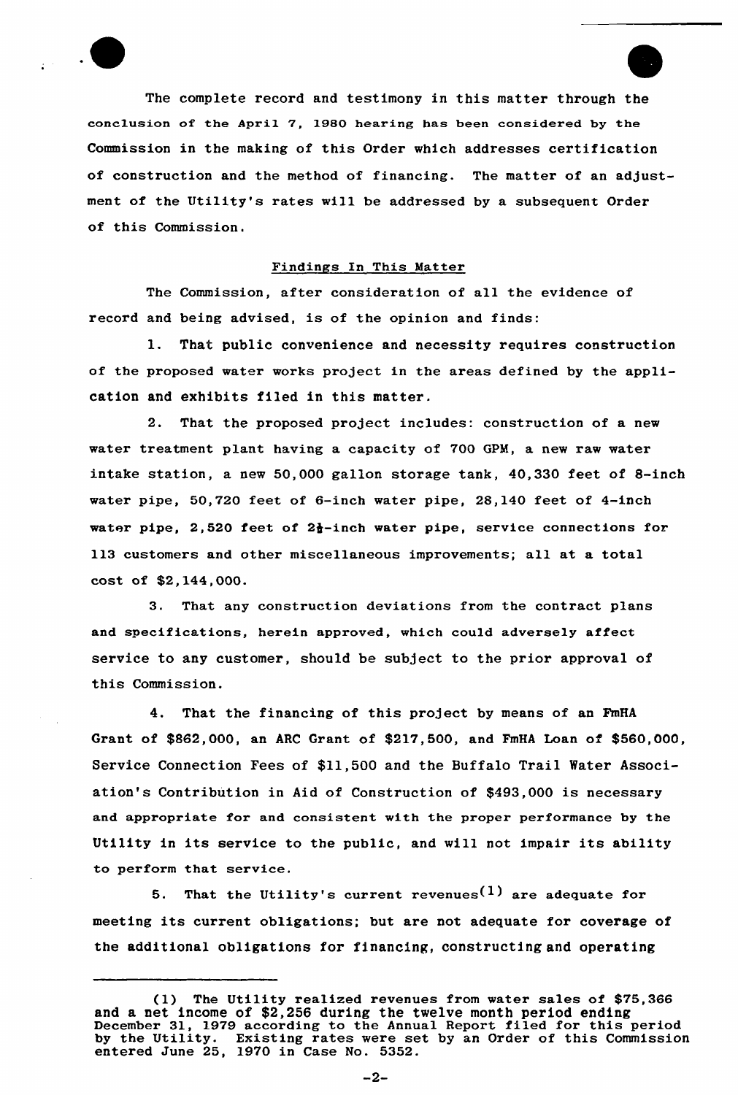

The complete record and testimony in this matter through the conclusion of the April 7, 1980 hearing has been considered by the Commission in the making of this Order which addresses certification of construction and the method of financing. The matter of an adjustment of the Utility's rates will be addressed by a subsequent Order of this Commission.

#### Findings ln This Matter

The Commission, after consideration of all the evidence of record and being advised, is of the opinion and finds:

1. That public convenience and necessity requires construction of the proposed water works project in the areas defined by the application and exhibits filed in this matter.

2. That the proposed project includes: construction of a new water treatment plant having a capacity of 700 GPM, a new raw water intake station, a new 50,000 gallon storage tank, 40,330 feet of 8-inch water pipe, 50,720 feet of 6-inch water pipe, 28,140 feet of 4-inch water pipe, 2,520 feet of 2 $\frac{1}{2}$ -inch water pipe, service connections for 113 customers and other miscellaneous improvements; all at a total cost of \$2,144,000.

3. That any construction deviations from the contract plans and specifications, herein approved, which cou1d adversely affect service to any customer, should be subject to the prior approval of this Commission.

4. That the financing of this project by means of an FmHA Grant of \$862,000, an ARC Grant of \$217,500, and FmHA Loan of \$560,000, Service Connection Fees of \$11,500 and the Buffalo Trail Water Association's Contribution in Aid of Construction of \$493,000 is necessary and appropriate for and consistent with the proper performance by the Utility in its service to the public, and will not impair its ability to perform that service.

5. That the Utility's current revenues<sup>(1)</sup> are adequate for meeting its current obligations; but are not adequate for coverage of the additional obligations for financing, constructing and operating

<sup>(1)</sup> The Utility realized revenues from water sales of \$75,366 and a net income of \$2,256 during the twelve month period ending December 31, 1979 according to the Annual Report filed for this period by the Utility. Existing rates were set by an Order of this Commission entered June 25, 1970 in Case No. 5352.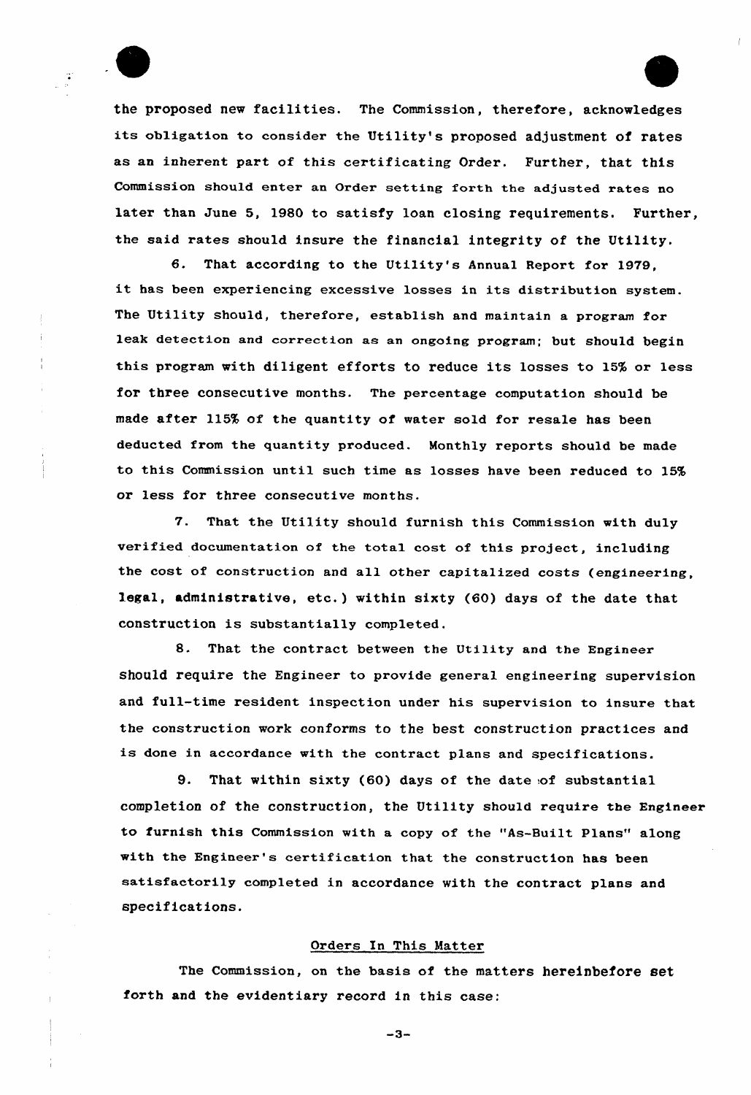

the proposed new facilities. The Commission, therefore, acknowledges its obligation to consider the Utility's proposed adjustment of rates as an inherent part of this certificating Order. Further, that this Commission should enter an Order setting forth the adjusted rates no later than June 5, 1980 to satisfy loan closing requirements. Further, the said rates should insure the financial integrity of the Utility.

6. That according to the Utility's Annual Report fox 1979, it has been experiencing excessive losses in its distribution system. The Utility should, therefore, establish and maintain a program for leak detection and correction as an ongoing program; but should begin this program with diligent efforts to reduce its losses to 15% or less for three consecutive months. The percentage computation should be made after 115% of the quantity of water sold for resale has been deducted from the quantity produced. Monthly reports should be made to this Commission until such time as losses have been reduced to 15% or less for three consecutive months.

'7. That the Utility should furnish this Commission with duly verified documentation of the total cost of this project, including the cost of construction and all other capitalized costs (engineering, legal, administrative, etc.) within sixty (60) days of the date that construction is substantially completed.

8. That the contract between the Utility and the Engineer should require the Engineer to provide general engineering supervision and full-time resident inspection under his supervision to insure that the construction work conforms to the best construction practices and is done in accordance with the contract plans and specifications.

9. That within sixty (60) days of the date of substantial completion of the construction, the Utility should require the Engineer to furnish this Commission with a copy of the "As-Built Plans" along with the Engineer's eextifieation that the construction has been satisfactorily completed in accordance with the contract plans and specifications.

### Oxdexs In This Matter

The Commission, on the basis of the matters hereinbefore set forth and the evidentiary record in this case:

 $-3-$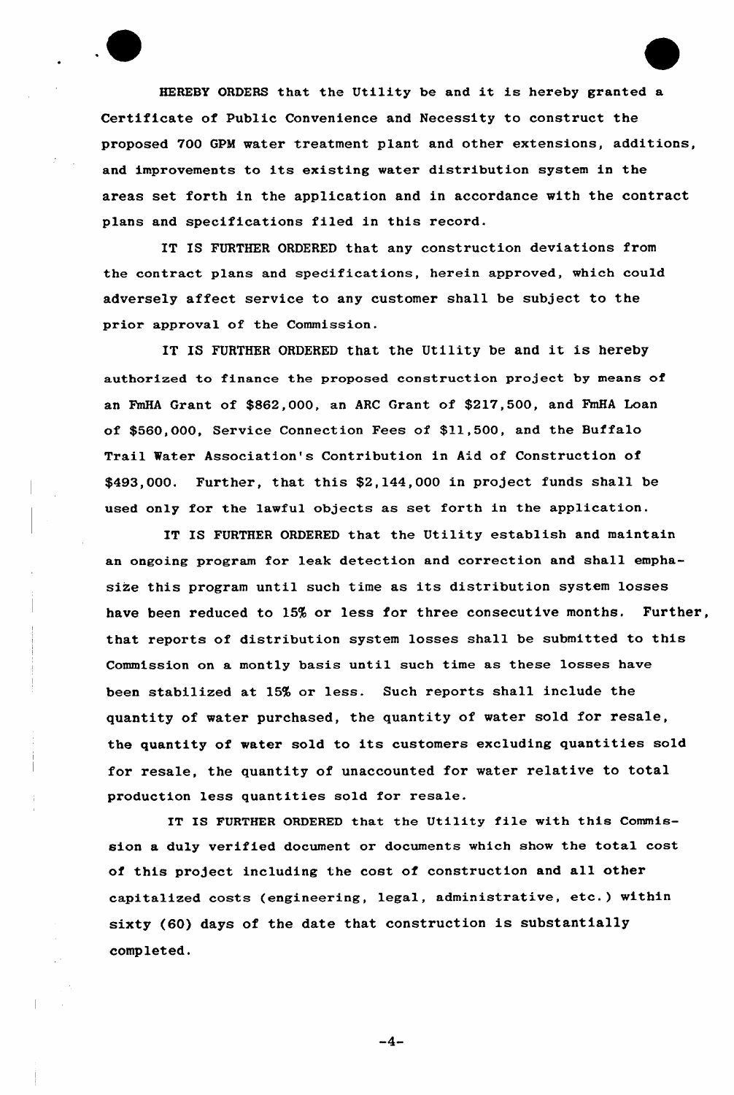HEREBY ORDERS that the Utility be and it is hereby granted <sup>a</sup> Certificate of Public Convenience and Necessity to construct the proposed 700 GPM watex treatment plant and other extensions, additions, and improvements to its existing water distribution system in the areas set forth in the application and in accordance with the contract plans and specifications filed in this record.

IT IS FURTHER ORDERED that any construction deviations from the contract plans and spedifications, herein approved, which could adversely affect service to any customer shall be subject to the prior approval of the Commission.

IT IS FURTHER ORDERED that the Utility be and it is hereby authorized to finance the proposed construction project by means of an FmHA Grant of \$S62,000, an ARC Grant of \$217,500, and FmHA Loan of \$560,000, Service Connection Fees of \$11,500, and the Buffalo Trail Water Association's Contribution in Aid of Construction of \$493,000. Further, that this \$2,144,000 in project funds shall be used only for the lawful objects as set forth in the application.

IT IS FURTHER ORDERED that the Utility establish and maintain an ongoing program for leak detection and correction and shall emphasize this program until such time as its distribution system losses have been reduced to 15% or less for three consecutive months. Further, that reports of distribution system losses shall be submitted to this Commission on a montly basis until such time as these losses have been stabilized at 15% or less. Such reports shall include the quantity of water purchased, the quantity of water sold for resale, the quantity of water sold to its customers excluding quantities sold for resale, the quantity of unaccounted for water relative to total production less quantities sold for resale.

IT IS FURTHER ORDERED that the Utility file with this Commission a duly verified document or documents which show the total cost of this project including the cost of construction and all other capitalized costs {engineering, legal, administrative, etc.) within sixty (60) days of the date that construction is substantially completed.

 $-4-$